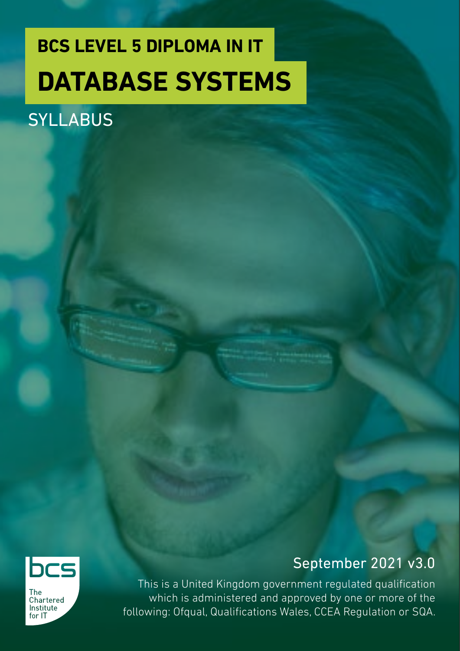## **BCS LEVEL 5 DIPLOMA IN IT DATABASE SYSTEMS**

### **SYLLABUS**



**The** Chartered Institute for IT

### September 2021 v3.0

This is a United Kingdom government regulated qualification which is administered and approved by one or more of the following: Ofqual, Qualifications Wales, CCEA Regulation or SQA.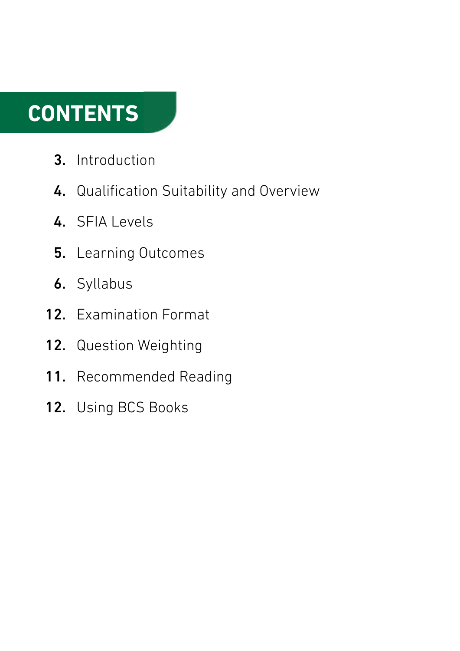### **CONTENTS**

- Introduction 3.
- 4. Qualification Suitability and Overview
- 4. SFIA Levels
- 5. Learning Outcomes
- **6.** Syllabus
- 12. Examination Format
- 12. Question Weighting
- 11. Recommended Reading
- 12. Using BCS Books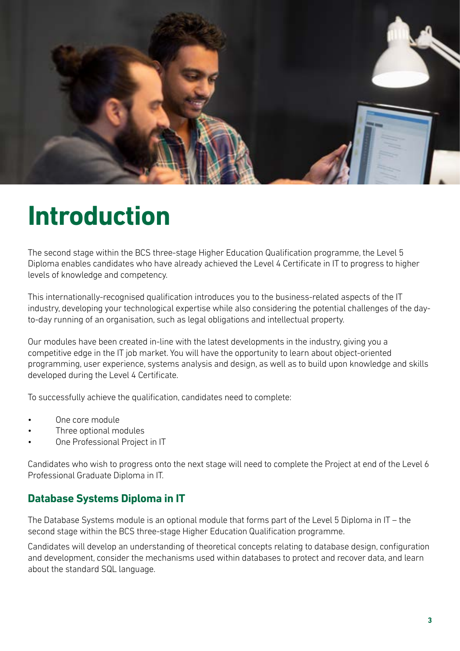

### **Introduction**

The second stage within the BCS three-stage Higher Education Qualification programme, the Level 5 Diploma enables candidates who have already achieved the Level 4 Certificate in IT to progress to higher levels of knowledge and competency.

This internationally-recognised qualification introduces you to the business-related aspects of the IT industry, developing your technological expertise while also considering the potential challenges of the dayto-day running of an organisation, such as legal obligations and intellectual property.

Our modules have been created in-line with the latest developments in the industry, giving you a competitive edge in the IT job market. You will have the opportunity to learn about object-oriented programming, user experience, systems analysis and design, as well as to build upon knowledge and skills developed during the Level 4 Certificate.

To successfully achieve the qualification, candidates need to complete:

- One core module
- Three optional modules
- One Professional Project in IT

Candidates who wish to progress onto the next stage will need to complete the Project at end of the Level 6 Professional Graduate Diploma in IT.

#### **Database Systems Diploma in IT**

The Database Systems module is an optional module that forms part of the Level 5 Diploma in IT – the second stage within the BCS three-stage Higher Education Qualification programme.

Candidates will develop an understanding of theoretical concepts relating to database design, configuration and development, consider the mechanisms used within databases to protect and recover data, and learn about the standard SQL language.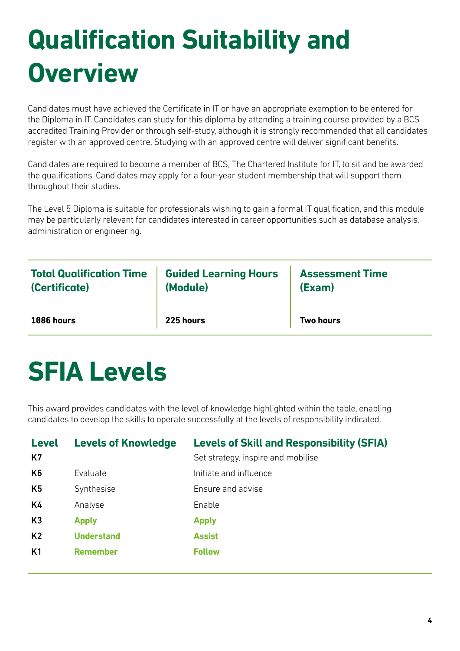# **Qualification Suitability and Overview**

Candidates must have achieved the Certificate in IT or have an appropriate exemption to be entered for the Diploma in IT. Candidates can study for this diploma by attending a training course provided by a BCS accredited Training Provider or through self-study, although it is strongly recommended that all candidates register with an approved centre. Studying with an approved centre will deliver significant benefits.

Candidates are required to become a member of BCS, The Chartered Institute for IT, to sit and be awarded the qualifications. Candidates may apply for a four-year student membership that will support them throughout their studies.

The Level 5 Diploma is suitable for professionals wishing to gain a formal IT qualification, and this module may be particularly relevant for candidates interested in career opportunities such as database analysis, administration or engineering.

| <b>Total Qualification Time</b> | <b>Guided Learning Hours</b> | <b>Assessment Time</b> |
|---------------------------------|------------------------------|------------------------|
| (Certificate)                   | (Module)                     | (Exam)                 |
| <b>1086 hours</b>               | 225 hours                    | <b>Two hours</b>       |

### **SFIA Levels**

This award provides candidates with the level of knowledge highlighted within the table, enabling candidates to develop the skills to operate successfully at the levels of responsibility indicated.

| <b>Level</b><br><b>K7</b> | <b>Levels of Knowledge</b> | <b>Levels of Skill and Responsibility (SFIA)</b><br>Set strategy, inspire and mobilise |
|---------------------------|----------------------------|----------------------------------------------------------------------------------------|
| K <sub>6</sub>            | Evaluate                   | Initiate and influence                                                                 |
| K <sub>5</sub>            | Synthesise                 | Ensure and advise                                                                      |
| K4                        | Analyse                    | Enable                                                                                 |
| K3                        | <b>Apply</b>               | <b>Apply</b>                                                                           |
| K <sub>2</sub>            | <b>Understand</b>          | <b>Assist</b>                                                                          |
| K <sub>1</sub>            | <b>Remember</b>            | <b>Follow</b>                                                                          |
|                           |                            |                                                                                        |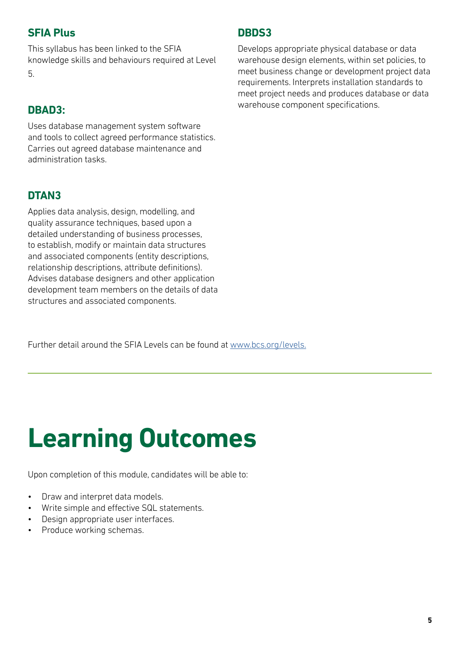#### **SFIA Plus**

This syllabus has been linked to the SFIA knowledge skills and behaviours required at Level 5.

#### **DBAD3:**

Uses database management system software and tools to collect agreed performance statistics. Carries out agreed database maintenance and administration tasks.

#### **DTAN3**

Applies data analysis, design, modelling, and quality assurance techniques, based upon a detailed understanding of business processes, to establish, modify or maintain data structures and associated components (entity descriptions, relationship descriptions, attribute definitions). Advises database designers and other application development team members on the details of data structures and associated components.

Further detail around the SFIA Levels can be found at [www.bcs.org/levels.](https://www.bcs.org/media/5165/sfia-levels-knowledge.pdf)

## **Learning Outcomes**

Upon completion of this module, candidates will be able to:

- Draw and interpret data models.
- Write simple and effective SQL statements.
- Design appropriate user interfaces.
- Produce working schemas.

#### **DBDS3**

Develops appropriate physical database or data warehouse design elements, within set policies, to meet business change or development project data requirements. Interprets installation standards to meet project needs and produces database or data warehouse component specifications.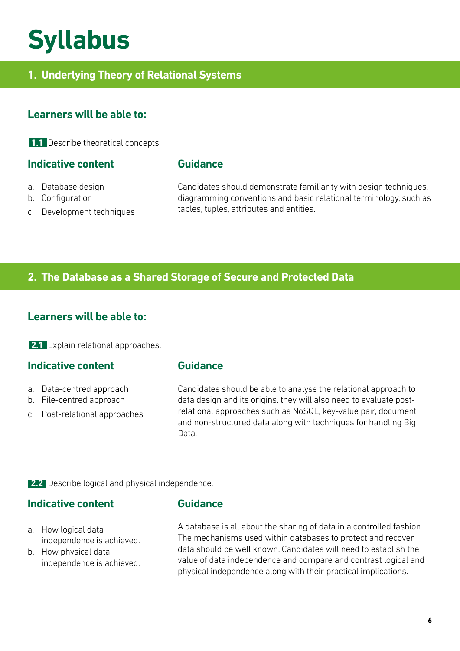### **Syllabus**

#### **1. Underlying Theory of Relational Systems**

#### **Learners will be able to:**

**1.1** Describe theoretical concepts.

#### **Indicative content**

- a. Database design
- b. Configuration
- c. Development techniques

**Guidance**

Candidates should demonstrate familiarity with design techniques, diagramming conventions and basic relational terminology, such as tables, tuples, attributes and entities.

#### **2. The Database as a Shared Storage of Secure and Protected Data**

#### **Learners will be able to:**

**2.1** Explain relational approaches.

#### **Indicative content**

- a. Data-centred approach
- b. File-centred approach
- c. Post-relational approaches

#### **Guidance**

Candidates should be able to analyse the relational approach to data design and its origins. they will also need to evaluate postrelational approaches such as NoSQL, key-value pair, document and non-structured data along with techniques for handling Big Data.

**2.2** Describe logical and physical independence.

#### **Indicative content**

- **Guidance**
- a. How logical data independence is achieved.
- b. How physical data independence is achieved.

A database is all about the sharing of data in a controlled fashion. The mechanisms used within databases to protect and recover data should be well known. Candidates will need to establish the value of data independence and compare and contrast logical and physical independence along with their practical implications.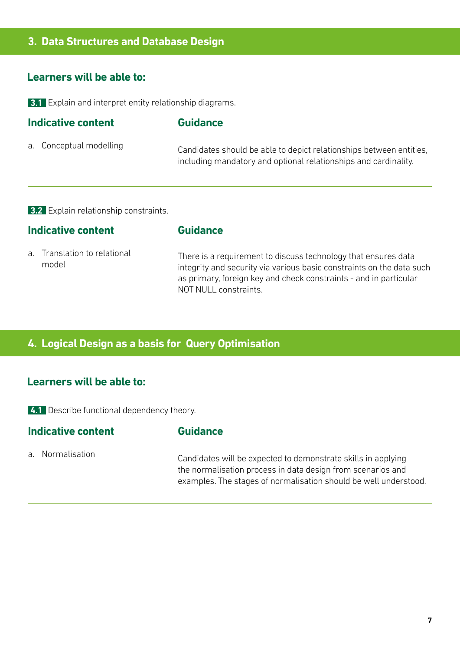#### **3. Data Structures and Database Design**

#### **Learners will be able to:**

**3.1** Explain and interpret entity relationship diagrams.

| Indicative content |                         | <b>Guidance</b>                                                                                                                        |  |
|--------------------|-------------------------|----------------------------------------------------------------------------------------------------------------------------------------|--|
|                    | a. Conceptual modelling | Candidates should be able to depict relationships between entities,<br>including mandatory and optional relationships and cardinality. |  |

**3.2** Explain relationship constraints.

#### **Indicative content**

#### **Guidance**

a. Translation to relational model

There is a requirement to discuss technology that ensures data integrity and security via various basic constraints on the data such as primary, foreign key and check constraints - and in particular NOT NULL constraints.

#### **4. Logical Design as a basis for Query Optimisation**

#### **Learners will be able to:**

**4.1** Describe functional dependency theory.

#### **Indicative content**

#### **Guidance**

a. Normalisation

Candidates will be expected to demonstrate skills in applying the normalisation process in data design from scenarios and examples. The stages of normalisation should be well understood.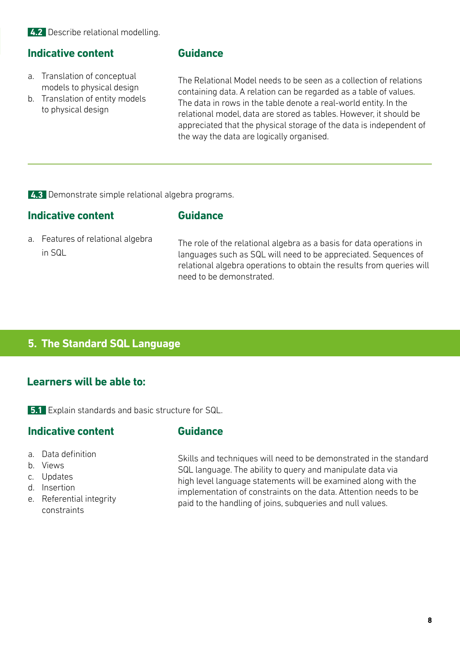#### **Indicative content**

- a. Translation of conceptual models to physical design
- b. Translation of entity models to physical design

#### **Guidance**

The Relational Model needs to be seen as a collection of relations containing data. A relation can be regarded as a table of values. The data in rows in the table denote a real-world entity. In the relational model, data are stored as tables. However, it should be appreciated that the physical storage of the data is independent of the way the data are logically organised.

**4.3** Demonstrate simple relational algebra programs.

#### **Indicative content**

#### **Guidance**

a. Features of relational algebra in SQL

The role of the relational algebra as a basis for data operations in languages such as SQL will need to be appreciated. Sequences of relational algebra operations to obtain the results from queries will need to be demonstrated.

#### **5. The Standard SQL Language**

#### **Learners will be able to:**

**5.1** Explain standards and basic structure for SQL.

#### **Indicative content**

#### **Guidance**

- a. Data definition
- b. Views
- c. Updates
- d. Insertion
- e. Referential integrity constraints

Skills and techniques will need to be demonstrated in the standard SQL language. The ability to query and manipulate data via high level language statements will be examined along with the implementation of constraints on the data. Attention needs to be paid to the handling of joins, subqueries and null values.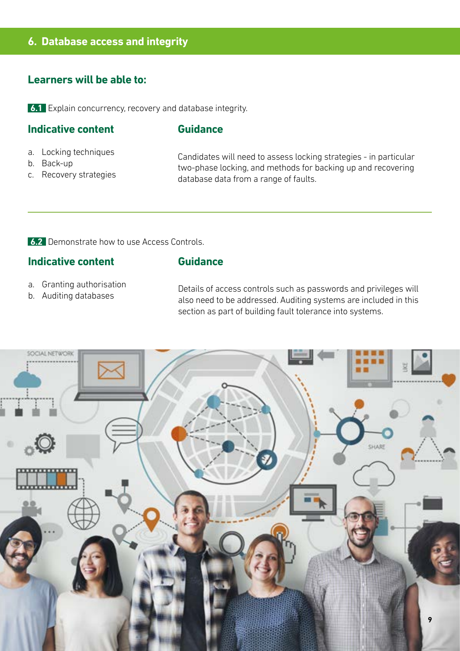#### **6. Database access and integrity**

#### **Learners will be able to:**

**6.1** Explain concurrency, recovery and database integrity.

#### **Indicative content**

#### **Guidance**

- a. Locking techniques
- b. Back-up
- c. Recovery strategies

Candidates will need to assess locking strategies - in particular two-phase locking, and methods for backing up and recovering database data from a range of faults.

**6.2** Demonstrate how to use Access Controls.

#### **Indicative content**

#### **Guidance**

- a. Granting authorisation
- b. Auditing databases

Details of access controls such as passwords and privileges will also need to be addressed. Auditing systems are included in this section as part of building fault tolerance into systems.

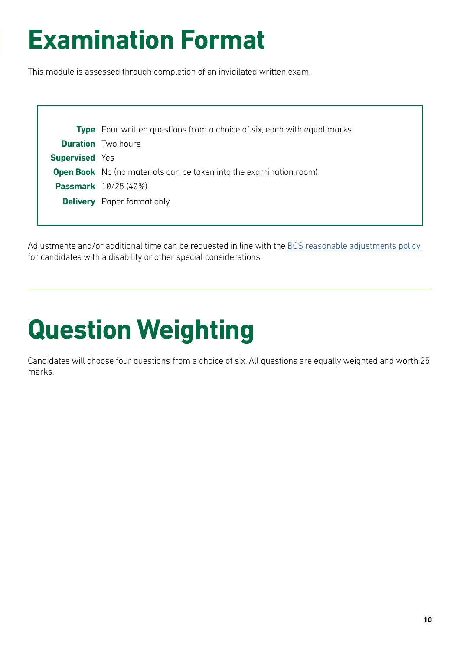## **Examination Format**

This module is assessed through completion of an invigilated written exam.

|                       | <b>Type</b> Four written questions from a choice of six, each with equal marks |  |
|-----------------------|--------------------------------------------------------------------------------|--|
|                       | <b>Duration</b> Two hours                                                      |  |
| <b>Supervised</b> Yes |                                                                                |  |
|                       | <b>Open Book</b> No (no materials can be taken into the examination room)      |  |
|                       | <b>Passmark</b> 10/25 (40%)                                                    |  |
|                       | <b>Delivery</b> Paper format only                                              |  |
|                       |                                                                                |  |

Adjustments and/or additional time can be requested in line with the BCS reasonable adjustments policy for candidates with a disability or other special considerations.

# **Question Weighting**

Candidates will choose four questions from a choice of six. All questions are equally weighted and worth 25 marks.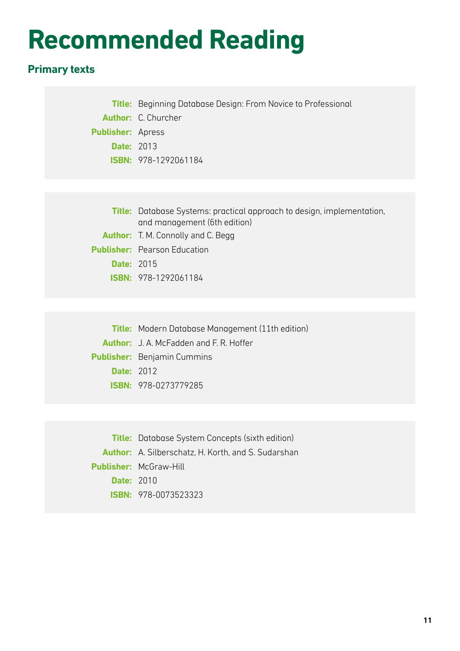### **Recommended Reading**

### **Primary texts**

**Title:** Beginning Database Design: From Novice to Professional **Author:** C. Churcher **Publisher:** Apress **Date:** 2013 **ISBN:** 978-1292061184

|                   | <b>Title:</b> Database Systems: practical approach to design, implementation, |  |
|-------------------|-------------------------------------------------------------------------------|--|
|                   | and management (6th edition)                                                  |  |
|                   | <b>Author:</b> T. M. Connolly and C. Begg                                     |  |
|                   | <b>Publisher:</b> Pearson Education                                           |  |
| <b>Date: 2015</b> |                                                                               |  |
|                   | <b>ISBN: 978-1292061184</b>                                                   |  |

**Title:** Modern Database Management (11th edition) **Author:** J. A. McFadden and F. R. Hoffer **Publisher:** Benjamin Cummins **Date:** 2012 **ISBN:** 978-0273779285

**Title:** Database System Concepts (sixth edition) **Author:** A. Silberschatz, H. Korth, and S. Sudarshan **Publisher:** McGraw-Hill **Date:** 2010 **ISBN:** 978-0073523323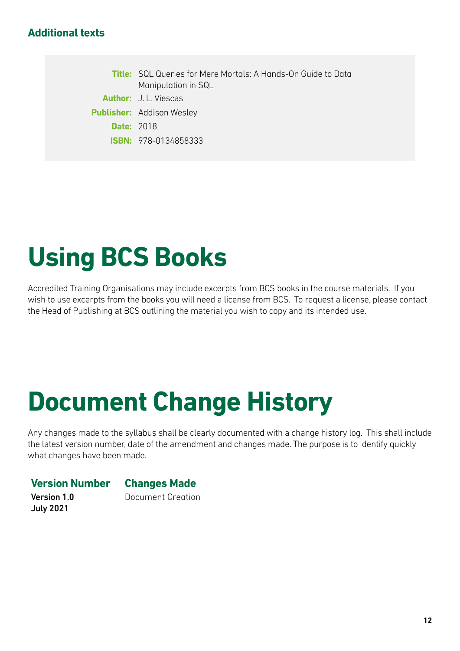#### **Additional texts**

**Title:** SQL Queries for Mere Mortals: A Hands-On Guide to Data Manipulation in SQL **Author:** J. L. Viescas **Publisher:** Addison Wesley **Date:** 2018 **ISBN:** 978-0134858333

## **Using BCS Books**

Accredited Training Organisations may include excerpts from BCS books in the course materials. If you wish to use excerpts from the books you will need a license from BCS. To request a license, please contact the Head of Publishing at BCS outlining the material you wish to copy and its intended use.

### **Document Change History**

Any changes made to the syllabus shall be clearly documented with a change history log. This shall include the latest version number, date of the amendment and changes made. The purpose is to identify quickly what changes have been made.

#### **Version Number Changes Made**

Version 1.0 July 2021

Document Creation